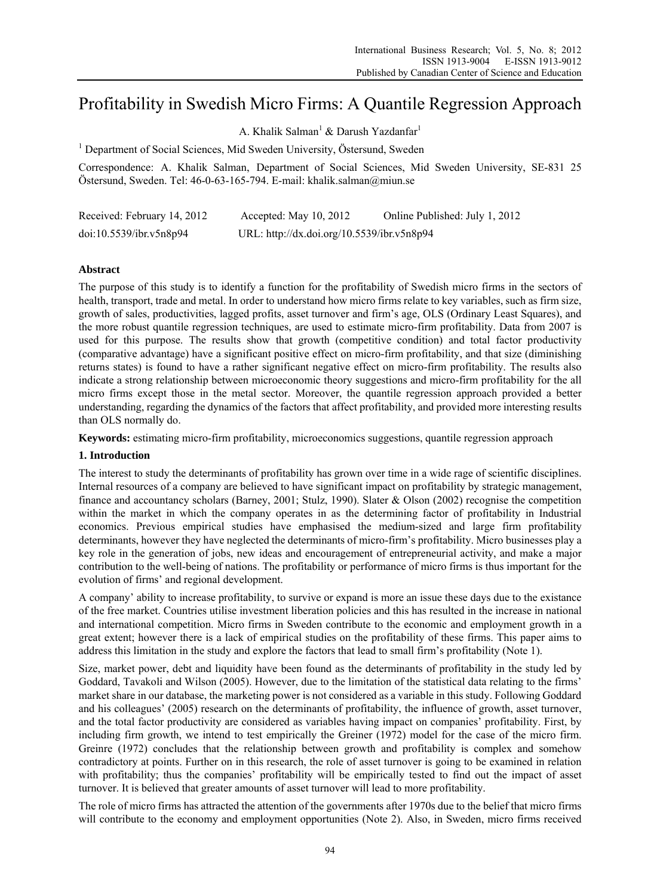# Profitability in Swedish Micro Firms: A Quantile Regression Approach

A. Khalik Salman<sup>1</sup> & Darush Yazdanfar<sup>1</sup>

<sup>1</sup> Department of Social Sciences, Mid Sweden University, Östersund, Sweden

Correspondence: A. Khalik Salman, Department of Social Sciences, Mid Sweden University, SE-831 25 Östersund, Sweden. Tel: 46-0-63-165-794. E-mail: khalik.salman@miun.se

| Received: February 14, 2012 | Accepted: May $10, 2012$                   | Online Published: July 1, 2012 |
|-----------------------------|--------------------------------------------|--------------------------------|
| doi:10.5539/ibr.v5n8p94     | URL: http://dx.doi.org/10.5539/ibr.v5n8p94 |                                |

# **Abstract**

The purpose of this study is to identify a function for the profitability of Swedish micro firms in the sectors of health, transport, trade and metal. In order to understand how micro firms relate to key variables, such as firm size, growth of sales, productivities, lagged profits, asset turnover and firm's age, OLS (Ordinary Least Squares), and the more robust quantile regression techniques, are used to estimate micro-firm profitability. Data from 2007 is used for this purpose. The results show that growth (competitive condition) and total factor productivity (comparative advantage) have a significant positive effect on micro-firm profitability, and that size (diminishing returns states) is found to have a rather significant negative effect on micro-firm profitability. The results also indicate a strong relationship between microeconomic theory suggestions and micro-firm profitability for the all micro firms except those in the metal sector. Moreover, the quantile regression approach provided a better understanding, regarding the dynamics of the factors that affect profitability, and provided more interesting results than OLS normally do.

**Keywords:** estimating micro-firm profitability, microeconomics suggestions, quantile regression approach

## **1. Introduction**

The interest to study the determinants of profitability has grown over time in a wide rage of scientific disciplines. Internal resources of a company are believed to have significant impact on profitability by strategic management, finance and accountancy scholars (Barney, 2001; Stulz, 1990). Slater & Olson (2002) recognise the competition within the market in which the company operates in as the determining factor of profitability in Industrial economics. Previous empirical studies have emphasised the medium-sized and large firm profitability determinants, however they have neglected the determinants of micro-firm's profitability. Micro businesses play a key role in the generation of jobs, new ideas and encouragement of entrepreneurial activity, and make a major contribution to the well-being of nations. The profitability or performance of micro firms is thus important for the evolution of firms' and regional development.

A company' ability to increase profitability, to survive or expand is more an issue these days due to the existance of the free market. Countries utilise investment liberation policies and this has resulted in the increase in national and international competition. Micro firms in Sweden contribute to the economic and employment growth in a great extent; however there is a lack of empirical studies on the profitability of these firms. This paper aims to address this limitation in the study and explore the factors that lead to small firm's profitability (Note 1).

Size, market power, debt and liquidity have been found as the determinants of profitability in the study led by Goddard, Tavakoli and Wilson (2005). However, due to the limitation of the statistical data relating to the firms' market share in our database, the marketing power is not considered as a variable in this study. Following Goddard and his colleagues' (2005) research on the determinants of profitability, the influence of growth, asset turnover, and the total factor productivity are considered as variables having impact on companies' profitability. First, by including firm growth, we intend to test empirically the Greiner (1972) model for the case of the micro firm. Greinre (1972) concludes that the relationship between growth and profitability is complex and somehow contradictory at points. Further on in this research, the role of asset turnover is going to be examined in relation with profitability; thus the companies' profitability will be empirically tested to find out the impact of asset turnover. It is believed that greater amounts of asset turnover will lead to more profitability.

The role of micro firms has attracted the attention of the governments after 1970s due to the belief that micro firms will contribute to the economy and employment opportunities (Note 2). Also, in Sweden, micro firms received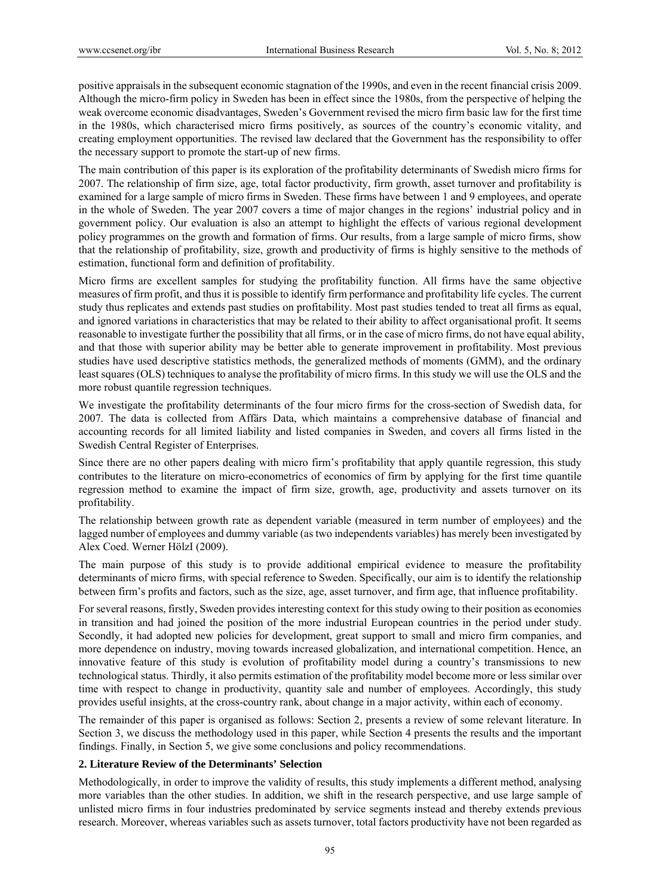positive appraisals in the subsequent economic stagnation of the 1990s, and even in the recent financial crisis 2009. Although the micro-firm policy in Sweden has been in effect since the 1980s, from the perspective of helping the weak overcome economic disadvantages, Sweden's Government revised the micro firm basic law for the first time in the 1980s, which characterised micro firms positively, as sources of the country's economic vitality, and creating employment opportunities. The revised law declared that the Government has the responsibility to offer the necessary support to promote the start-up of new firms.

The main contribution of this paper is its exploration of the profitability determinants of Swedish micro firms for 2007. The relationship of firm size, age, total factor productivity, firm growth, asset turnover and profitability is examined for a large sample of micro firms in Sweden. These firms have between 1 and 9 employees, and operate in the whole of Sweden. The year 2007 covers a time of major changes in the regions' industrial policy and in government policy. Our evaluation is also an attempt to highlight the effects of various regional development policy programmes on the growth and formation of firms. Our results, from a large sample of micro firms, show that the relationship of profitability, size, growth and productivity of firms is highly sensitive to the methods of estimation, functional form and definition of profitability.

Micro firms are excellent samples for studying the profitability function. All firms have the same objective measures of firm profit, and thus it is possible to identify firm performance and profitability life cycles. The current study thus replicates and extends past studies on profitability. Most past studies tended to treat all firms as equal, and ignored variations in characteristics that may be related to their ability to affect organisational profit. It seems reasonable to investigate further the possibility that all firms, or in the case of micro firms, do not have equal ability, and that those with superior ability may be better able to generate improvement in profitability. Most previous studies have used descriptive statistics methods, the generalized methods of moments (GMM), and the ordinary least squares (OLS) techniques to analyse the profitability of micro firms. In this study we will use the OLS and the more robust quantile regression techniques.

We investigate the profitability determinants of the four micro firms for the cross-section of Swedish data, for 2007. The data is collected from Affärs Data, which maintains a comprehensive database of financial and accounting records for all limited liability and listed companies in Sweden, and covers all firms listed in the Swedish Central Register of Enterprises.

Since there are no other papers dealing with micro firm's profitability that apply quantile regression, this study contributes to the literature on micro-econometrics of economics of firm by applying for the first time quantile regression method to examine the impact of firm size, growth, age, productivity and assets turnover on its profitability.

The relationship between growth rate as dependent variable (measured in term number of employees) and the lagged number of employees and dummy variable (as two independents variables) has merely been investigated by Alex Coed. Werner HölzI (2009).

The main purpose of this study is to provide additional empirical evidence to measure the profitability determinants of micro firms, with special reference to Sweden. Specifically, our aim is to identify the relationship between firm's profits and factors, such as the size, age, asset turnover, and firm age, that influence profitability.

For several reasons, firstly, Sweden provides interesting context for this study owing to their position as economies in transition and had joined the position of the more industrial European countries in the period under study. Secondly, it had adopted new policies for development, great support to small and micro firm companies, and more dependence on industry, moving towards increased globalization, and international competition. Hence, an innovative feature of this study is evolution of profitability model during a country's transmissions to new technological status. Thirdly, it also permits estimation of the profitability model become more or less similar over time with respect to change in productivity, quantity sale and number of employees. Accordingly, this study provides useful insights, at the cross-country rank, about change in a major activity, within each of economy.

The remainder of this paper is organised as follows: Section 2, presents a review of some relevant literature. In Section 3, we discuss the methodology used in this paper, while Section 4 presents the results and the important findings. Finally, in Section 5, we give some conclusions and policy recommendations.

# **2. Literature Review of the Determinants' Selection**

Methodologically, in order to improve the validity of results, this study implements a different method, analysing more variables than the other studies. In addition, we shift in the research perspective, and use large sample of unlisted micro firms in four industries predominated by service segments instead and thereby extends previous research. Moreover, whereas variables such as assets turnover, total factors productivity have not been regarded as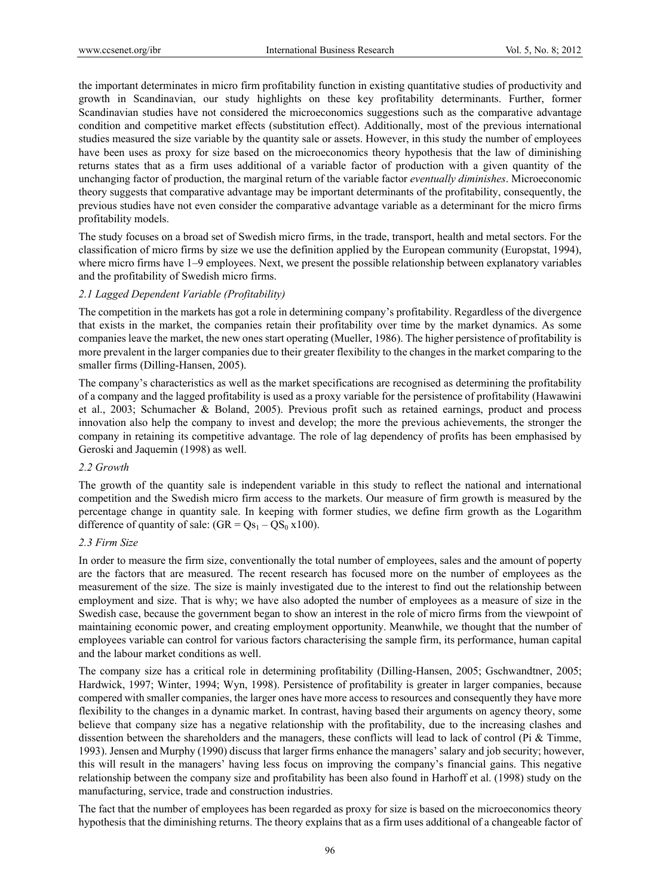the important determinates in micro firm profitability function in existing quantitative studies of productivity and growth in Scandinavian, our study highlights on these key profitability determinants. Further, former Scandinavian studies have not considered the microeconomics suggestions such as the comparative advantage condition and competitive market effects (substitution effect). Additionally, most of the previous international studies measured the size variable by the quantity sale or assets. However, in this study the number of employees have been uses as proxy for size based on the microeconomics theory hypothesis that the law of diminishing returns states that as a firm uses additional of a variable factor of production with a given quantity of the unchanging factor of production, the marginal return of the variable factor *eventually diminishes*. Microeconomic theory suggests that comparative advantage may be important determinants of the profitability, consequently, the previous studies have not even consider the comparative advantage variable as a determinant for the micro firms profitability models.

The study focuses on a broad set of Swedish micro firms, in the trade, transport, health and metal sectors. For the classification of micro firms by size we use the definition applied by the European community (Europstat, 1994), where micro firms have 1–9 employees. Next, we present the possible relationship between explanatory variables and the profitability of Swedish micro firms.

# *2.1 Lagged Dependent Variable (Profitability)*

The competition in the markets has got a role in determining company's profitability. Regardless of the divergence that exists in the market, the companies retain their profitability over time by the market dynamics. As some companies leave the market, the new ones start operating (Mueller, 1986). The higher persistence of profitability is more prevalent in the larger companies due to their greater flexibility to the changes in the market comparing to the smaller firms (Dilling-Hansen, 2005).

The company's characteristics as well as the market specifications are recognised as determining the profitability of a company and the lagged profitability is used as a proxy variable for the persistence of profitability (Hawawini et al., 2003; Schumacher & Boland, 2005). Previous profit such as retained earnings, product and process innovation also help the company to invest and develop; the more the previous achievements, the stronger the company in retaining its competitive advantage. The role of lag dependency of profits has been emphasised by Geroski and Jaquemin (1998) as well.

## *2.2 Growth*

The growth of the quantity sale is independent variable in this study to reflect the national and international competition and the Swedish micro firm access to the markets. Our measure of firm growth is measured by the percentage change in quantity sale. In keeping with former studies, we define firm growth as the Logarithm difference of quantity of sale:  $(GR = Qs_1 - QS_0 x100)$ .

## *2.3 Firm Size*

In order to measure the firm size, conventionally the total number of employees, sales and the amount of poperty are the factors that are measured. The recent research has focused more on the number of employees as the measurement of the size. The size is mainly investigated due to the interest to find out the relationship between employment and size. That is why; we have also adopted the number of employees as a measure of size in the Swedish case, because the government began to show an interest in the role of micro firms from the viewpoint of maintaining economic power, and creating employment opportunity. Meanwhile, we thought that the number of employees variable can control for various factors characterising the sample firm, its performance, human capital and the labour market conditions as well.

The company size has a critical role in determining profitability (Dilling-Hansen, 2005; Gschwandtner, 2005; Hardwick, 1997; Winter, 1994; Wyn, 1998). Persistence of profitability is greater in larger companies, because compered with smaller companies, the larger ones have more access to resources and consequently they have more flexibility to the changes in a dynamic market. In contrast, having based their arguments on agency theory, some believe that company size has a negative relationship with the profitability, due to the increasing clashes and dissention between the shareholders and the managers, these conflicts will lead to lack of control (Pi & Timme, 1993). Jensen and Murphy (1990) discuss that larger firms enhance the managers' salary and job security; however, this will result in the managers' having less focus on improving the company's financial gains. This negative relationship between the company size and profitability has been also found in Harhoff et al. (1998) study on the manufacturing, service, trade and construction industries.

The fact that the number of employees has been regarded as proxy for size is based on the microeconomics theory hypothesis that the diminishing returns. The theory explains that as a firm uses additional of a changeable factor of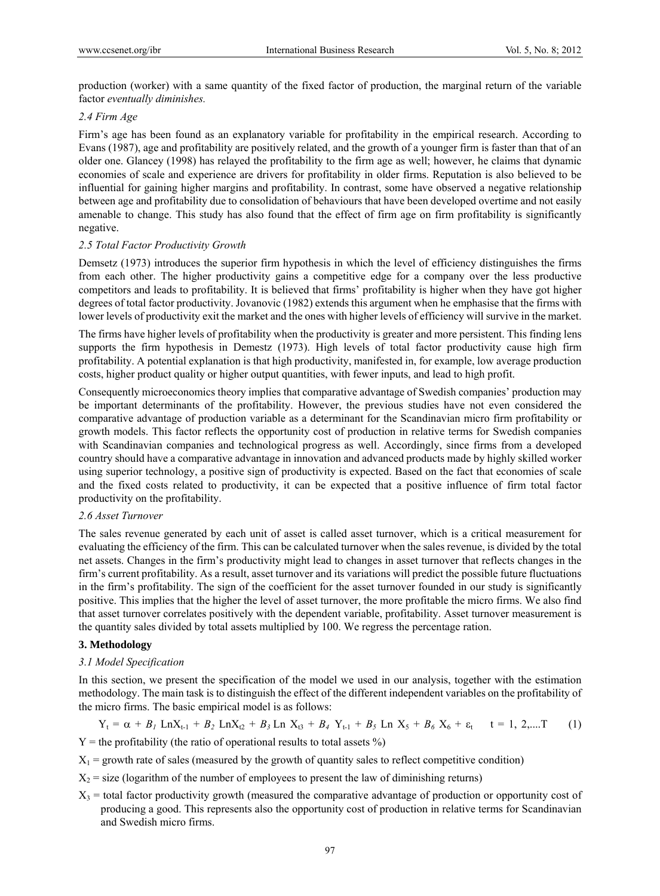production (worker) with a same quantity of the fixed factor of production, the marginal return of the variable factor *eventually diminishes.*

## *2.4 Firm Age*

Firm's age has been found as an explanatory variable for profitability in the empirical research. According to Evans (1987), age and profitability are positively related, and the growth of a younger firm is faster than that of an older one. Glancey (1998) has relayed the profitability to the firm age as well; however, he claims that dynamic economies of scale and experience are drivers for profitability in older firms. Reputation is also believed to be influential for gaining higher margins and profitability. In contrast, some have observed a negative relationship between age and profitability due to consolidation of behaviours that have been developed overtime and not easily amenable to change. This study has also found that the effect of firm age on firm profitability is significantly negative.

## *2.5 Total Factor Productivity Growth*

Demsetz (1973) introduces the superior firm hypothesis in which the level of efficiency distinguishes the firms from each other. The higher productivity gains a competitive edge for a company over the less productive competitors and leads to profitability. It is believed that firms' profitability is higher when they have got higher degrees of total factor productivity. Jovanovic (1982) extends this argument when he emphasise that the firms with lower levels of productivity exit the market and the ones with higher levels of efficiency will survive in the market.

The firms have higher levels of profitability when the productivity is greater and more persistent. This finding lens supports the firm hypothesis in Demestz (1973). High levels of total factor productivity cause high firm profitability. A potential explanation is that high productivity, manifested in, for example, low average production costs, higher product quality or higher output quantities, with fewer inputs, and lead to high profit.

Consequently microeconomics theory implies that comparative advantage of Swedish companies' production may be important determinants of the profitability. However, the previous studies have not even considered the comparative advantage of production variable as a determinant for the Scandinavian micro firm profitability or growth models. This factor reflects the opportunity cost of production in relative terms for Swedish companies with Scandinavian companies and technological progress as well. Accordingly, since firms from a developed country should have a comparative advantage in innovation and advanced products made by highly skilled worker using superior technology, a positive sign of productivity is expected. Based on the fact that economies of scale and the fixed costs related to productivity, it can be expected that a positive influence of firm total factor productivity on the profitability.

## *2.6 Asset Turnover*

The sales revenue generated by each unit of asset is called asset turnover, which is a critical measurement for evaluating the efficiency of the firm. This can be calculated turnover when the sales revenue, is divided by the total net assets. Changes in the firm's productivity might lead to changes in asset turnover that reflects changes in the firm's current profitability. As a result, asset turnover and its variations will predict the possible future fluctuations in the firm's profitability. The sign of the coefficient for the asset turnover founded in our study is significantly positive. This implies that the higher the level of asset turnover, the more profitable the micro firms. We also find that asset turnover correlates positively with the dependent variable, profitability. Asset turnover measurement is the quantity sales divided by total assets multiplied by 100. We regress the percentage ration.

## **3. Methodology**

## *3.1 Model Specification*

In this section, we present the specification of the model we used in our analysis, together with the estimation methodology. The main task is to distinguish the effect of the different independent variables on the profitability of the micro firms. The basic empirical model is as follows:

$$
Y_t = \alpha + B_1 \text{Ln} X_{t-1} + B_2 \text{Ln} X_{t2} + B_3 \text{Ln} X_{t3} + B_4 Y_{t-1} + B_5 \text{Ln} X_5 + B_6 X_6 + \varepsilon_t \quad t = 1, 2, \dots T \quad (1)
$$

 $Y =$  the profitability (the ratio of operational results to total assets %)

 $X_1$  = growth rate of sales (measured by the growth of quantity sales to reflect competitive condition)

 $X_2$  = size (logarithm of the number of employees to present the law of diminishing returns)

 $X_3$  = total factor productivity growth (measured the comparative advantage of production or opportunity cost of producing a good. This represents also the opportunity cost of production in relative terms for Scandinavian and Swedish micro firms.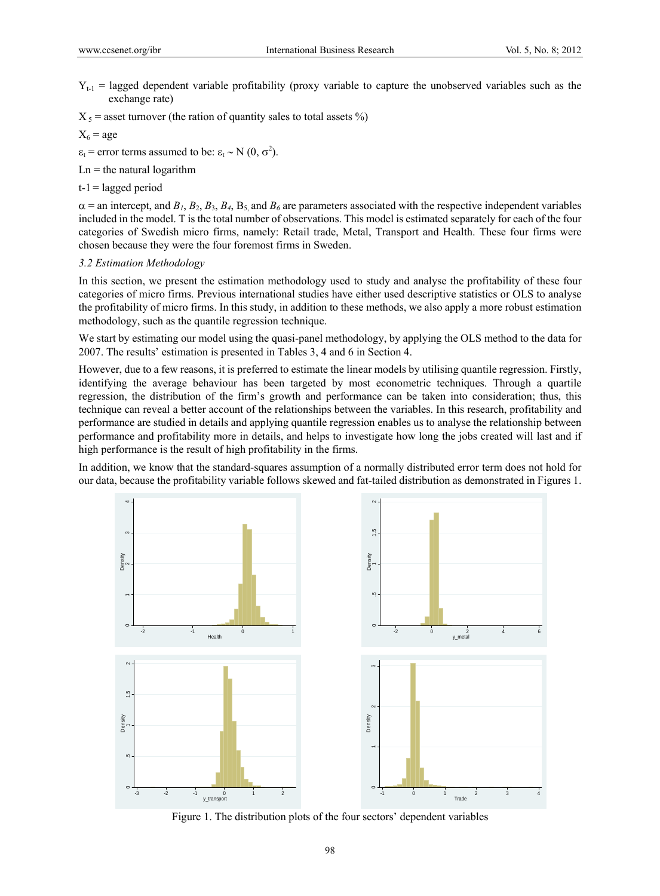$Y_{t-1}$  = lagged dependent variable profitability (proxy variable to capture the unobserved variables such as the exchange rate)

 $X_5$  = asset turnover (the ration of quantity sales to total assets %)

$$
X_6 = age
$$

 $\varepsilon_t$  = error terms assumed to be:  $\varepsilon_t \sim N(0, \sigma^2)$ .

 $Ln =$  the natural logarithm

 $t-1$  = lagged period

 $\alpha$  = an intercept, and *B<sub>1</sub>*, *B*<sub>2</sub>, *B*<sub>3</sub>, *B<sub>4</sub>*, B<sub>5</sub>, and *B<sub>6</sub>* are parameters associated with the respective independent variables included in the model. T is the total number of observations. This model is estimated separately for each of the four categories of Swedish micro firms, namely: Retail trade, Metal, Transport and Health. These four firms were chosen because they were the four foremost firms in Sweden.

## *3.2 Estimation Methodology*

In this section, we present the estimation methodology used to study and analyse the profitability of these four categories of micro firms. Previous international studies have either used descriptive statistics or OLS to analyse the profitability of micro firms. In this study, in addition to these methods, we also apply a more robust estimation methodology, such as the quantile regression technique.

We start by estimating our model using the quasi-panel methodology, by applying the OLS method to the data for 2007. The results' estimation is presented in Tables 3, 4 and 6 in Section 4.

However, due to a few reasons, it is preferred to estimate the linear models by utilising quantile regression. Firstly, identifying the average behaviour has been targeted by most econometric techniques. Through a quartile regression, the distribution of the firm's growth and performance can be taken into consideration; thus, this technique can reveal a better account of the relationships between the variables. In this research, profitability and performance are studied in details and applying quantile regression enables us to analyse the relationship between performance and profitability more in details, and helps to investigate how long the jobs created will last and if high performance is the result of high profitability in the firms.

In addition, we know that the standard-squares assumption of a normally distributed error term does not hold for our data, because the profitability variable follows skewed and fat-tailed distribution as demonstrated in Figures 1.



Figure 1. The distribution plots of the four sectors' dependent variables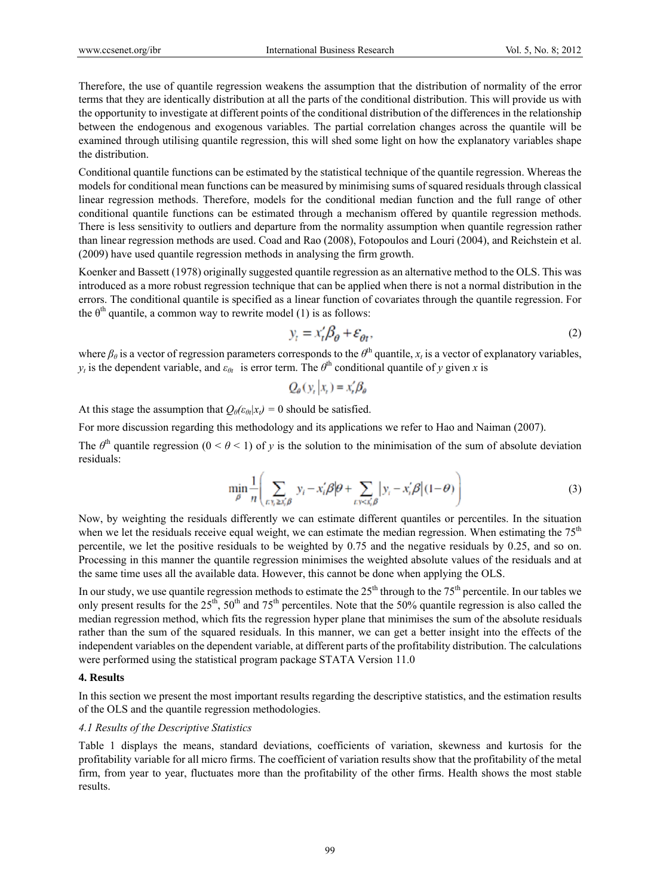Therefore, the use of quantile regression weakens the assumption that the distribution of normality of the error terms that they are identically distribution at all the parts of the conditional distribution. This will provide us with the opportunity to investigate at different points of the conditional distribution of the differences in the relationship between the endogenous and exogenous variables. The partial correlation changes across the quantile will be examined through utilising quantile regression, this will shed some light on how the explanatory variables shape the distribution.

Conditional quantile functions can be estimated by the statistical technique of the quantile regression. Whereas the models for conditional mean functions can be measured by minimising sums of squared residuals through classical linear regression methods. Therefore, models for the conditional median function and the full range of other conditional quantile functions can be estimated through a mechanism offered by quantile regression methods. There is less sensitivity to outliers and departure from the normality assumption when quantile regression rather than linear regression methods are used. Coad and Rao (2008), Fotopoulos and Louri (2004), and Reichstein et al. (2009) have used quantile regression methods in analysing the firm growth.

Koenker and Bassett (1978) originally suggested quantile regression as an alternative method to the OLS. This was introduced as a more robust regression technique that can be applied when there is not a normal distribution in the errors. The conditional quantile is specified as a linear function of covariates through the quantile regression. For the  $\theta^{th}$  quantile, a common way to rewrite model (1) is as follows:

$$
y_t = x_t' \beta_\theta + \varepsilon_{\theta t},\tag{2}
$$

where  $\beta_\theta$  is a vector of regression parameters corresponds to the  $\theta^{\text{th}}$  quantile,  $x_t$  is a vector of explanatory variables, *y<sub>t</sub>* is the dependent variable, and  $\varepsilon_{\theta t}$  is error term. The  $\theta^{\text{th}}$  conditional quantile of *y* given *x* is

$$
Q_{\theta}(y_t | x_t) = x_t' \beta_{\theta}
$$

At this stage the assumption that  $Q_{\theta}(\varepsilon_{\theta t}|x_t) = 0$  should be satisfied.

For more discussion regarding this methodology and its applications we refer to Hao and Naiman (2007).

The  $\theta^{\text{th}}$  quantile regression ( $0 \le \theta \le 1$ ) of y is the solution to the minimisation of the sum of absolute deviation residuals:

$$
\min_{\beta} \frac{1}{n} \left( \sum_{i: y_i \ge x'_i \beta} y_i - x'_i \beta \big| \theta + \sum_{i: y < x'_i \beta} \big| y_i - x'_i \beta \big| (1 - \theta) \right) \tag{3}
$$

Now, by weighting the residuals differently we can estimate different quantiles or percentiles. In the situation when we let the residuals receive equal weight, we can estimate the median regression. When estimating the  $75<sup>th</sup>$ percentile, we let the positive residuals to be weighted by 0.75 and the negative residuals by 0.25, and so on. Processing in this manner the quantile regression minimises the weighted absolute values of the residuals and at the same time uses all the available data. However, this cannot be done when applying the OLS.

In our study, we use quantile regression methods to estimate the  $25<sup>th</sup>$  through to the  $75<sup>th</sup>$  percentile. In our tables we only present results for the  $25<sup>th</sup>$ ,  $50<sup>th</sup>$  and  $75<sup>th</sup>$  percentiles. Note that the 50% quantile regression is also called the median regression method, which fits the regression hyper plane that minimises the sum of the absolute residuals rather than the sum of the squared residuals. In this manner, we can get a better insight into the effects of the independent variables on the dependent variable, at different parts of the profitability distribution. The calculations were performed using the statistical program package STATA Version 11.0

#### **4. Results**

In this section we present the most important results regarding the descriptive statistics, and the estimation results of the OLS and the quantile regression methodologies.

## *4.1 Results of the Descriptive Statistics*

Table 1 displays the means, standard deviations, coefficients of variation, skewness and kurtosis for the profitability variable for all micro firms. The coefficient of variation results show that the profitability of the metal firm, from year to year, fluctuates more than the profitability of the other firms. Health shows the most stable results.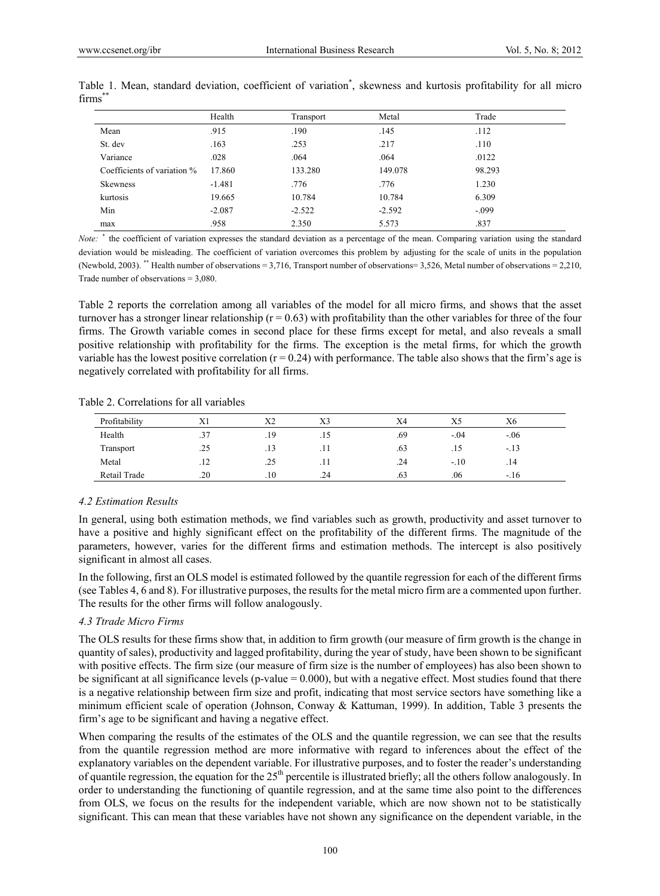|                             | Health   | Transport | Metal    | Trade   |  |
|-----------------------------|----------|-----------|----------|---------|--|
| Mean                        | .915     | .190      | .145     | .112    |  |
| St. dev                     | .163     | .253      | .217     | .110    |  |
| Variance                    | .028     | .064      | .064     | .0122   |  |
| Coefficients of variation % | 17.860   | 133.280   | 149.078  | 98.293  |  |
| <b>Skewness</b>             | $-1.481$ | .776      | .776     | 1.230   |  |
| kurtosis                    | 19.665   | 10.784    | 10.784   | 6.309   |  |
| Min                         | $-2.087$ | $-2.522$  | $-2.592$ | $-.099$ |  |
| max                         | .958     | 2.350     | 5.573    | .837    |  |

Table 1. Mean, standard deviation, coefficient of variation<sup>\*</sup>, skewness and kurtosis profitability for all micro firms<sup>\*\*</sup>

*Note:* <sup>\*</sup> the coefficient of variation expresses the standard deviation as a percentage of the mean. Comparing variation using the standard deviation would be misleading. The coefficient of variation overcomes this problem by adjusting for the scale of units in the population (Newbold, 2003). \*\* Health number of observations = 3,716, Transport number of observations = 3,526, Metal number of observations = 2,210, Trade number of observations = 3,080.

Table 2 reports the correlation among all variables of the model for all micro firms, and shows that the asset turnover has a stronger linear relationship ( $r = 0.63$ ) with profitability than the other variables for three of the four firms. The Growth variable comes in second place for these firms except for metal, and also reveals a small positive relationship with profitability for the firms. The exception is the metal firms, for which the growth variable has the lowest positive correlation  $(r = 0.24)$  with performance. The table also shows that the firm's age is negatively correlated with profitability for all firms.

| Profitability | X1  | X2  | X <sub>3</sub> | X4  | X5     | X6     |  |
|---------------|-----|-----|----------------|-----|--------|--------|--|
| Health        | .37 | .19 | د 1.           | .69 | $-.04$ | $-.06$ |  |
| Transport     | .25 | .13 | .              | .63 | د ا    | $-.13$ |  |
| Metal         | .12 | .25 | .11            | .24 | $-.10$ | .14    |  |
| Retail Trade  | .20 | .10 | .24            | .63 | .06    | $-.16$ |  |

Table 2. Correlations for all variables

#### *4.2 Estimation Results*

In general, using both estimation methods, we find variables such as growth, productivity and asset turnover to have a positive and highly significant effect on the profitability of the different firms. The magnitude of the parameters, however, varies for the different firms and estimation methods. The intercept is also positively significant in almost all cases.

In the following, first an OLS model is estimated followed by the quantile regression for each of the different firms (see Tables 4, 6 and 8). For illustrative purposes, the results for the metal micro firm are a commented upon further. The results for the other firms will follow analogously.

## *4.3 Ttrade Micro Firms*

The OLS results for these firms show that, in addition to firm growth (our measure of firm growth is the change in quantity of sales), productivity and lagged profitability, during the year of study, have been shown to be significant with positive effects. The firm size (our measure of firm size is the number of employees) has also been shown to be significant at all significance levels (p-value  $= 0.000$ ), but with a negative effect. Most studies found that there is a negative relationship between firm size and profit, indicating that most service sectors have something like a minimum efficient scale of operation (Johnson, Conway & Kattuman, 1999). In addition, Table 3 presents the firm's age to be significant and having a negative effect.

When comparing the results of the estimates of the OLS and the quantile regression, we can see that the results from the quantile regression method are more informative with regard to inferences about the effect of the explanatory variables on the dependent variable. For illustrative purposes, and to foster the reader's understanding of quantile regression, the equation for the  $25<sup>th</sup>$  percentile is illustrated briefly; all the others follow analogously. In order to understanding the functioning of quantile regression, and at the same time also point to the differences from OLS, we focus on the results for the independent variable, which are now shown not to be statistically significant. This can mean that these variables have not shown any significance on the dependent variable, in the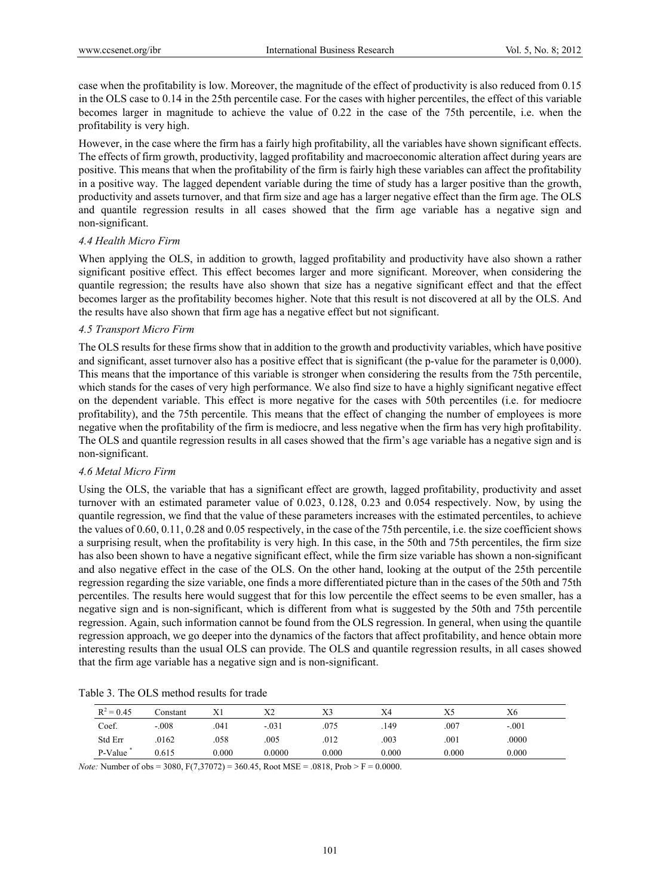case when the profitability is low. Moreover, the magnitude of the effect of productivity is also reduced from 0.15 in the OLS case to 0.14 in the 25th percentile case. For the cases with higher percentiles, the effect of this variable becomes larger in magnitude to achieve the value of 0.22 in the case of the 75th percentile, i.e. when the profitability is very high.

However, in the case where the firm has a fairly high profitability, all the variables have shown significant effects. The effects of firm growth, productivity, lagged profitability and macroeconomic alteration affect during years are positive. This means that when the profitability of the firm is fairly high these variables can affect the profitability in a positive way. The lagged dependent variable during the time of study has a larger positive than the growth, productivity and assets turnover, and that firm size and age has a larger negative effect than the firm age. The OLS and quantile regression results in all cases showed that the firm age variable has a negative sign and non-significant.

## *4.4 Health Micro Firm*

When applying the OLS, in addition to growth, lagged profitability and productivity have also shown a rather significant positive effect. This effect becomes larger and more significant. Moreover, when considering the quantile regression; the results have also shown that size has a negative significant effect and that the effect becomes larger as the profitability becomes higher. Note that this result is not discovered at all by the OLS. And the results have also shown that firm age has a negative effect but not significant.

## *4.5 Transport Micro Firm*

The OLS results for these firms show that in addition to the growth and productivity variables, which have positive and significant, asset turnover also has a positive effect that is significant (the p-value for the parameter is 0,000). This means that the importance of this variable is stronger when considering the results from the 75th percentile, which stands for the cases of very high performance. We also find size to have a highly significant negative effect on the dependent variable. This effect is more negative for the cases with 50th percentiles (i.e. for mediocre profitability), and the 75th percentile. This means that the effect of changing the number of employees is more negative when the profitability of the firm is mediocre, and less negative when the firm has very high profitability. The OLS and quantile regression results in all cases showed that the firm's age variable has a negative sign and is non-significant.

## *4.6 Metal Micro Firm*

Using the OLS, the variable that has a significant effect are growth, lagged profitability, productivity and asset turnover with an estimated parameter value of 0.023, 0.128, 0.23 and 0.054 respectively. Now, by using the quantile regression, we find that the value of these parameters increases with the estimated percentiles, to achieve the values of 0.60, 0.11, 0.28 and 0.05 respectively, in the case of the 75th percentile, i.e. the size coefficient shows a surprising result, when the profitability is very high. In this case, in the 50th and 75th percentiles, the firm size has also been shown to have a negative significant effect, while the firm size variable has shown a non-significant and also negative effect in the case of the OLS. On the other hand, looking at the output of the 25th percentile regression regarding the size variable, one finds a more differentiated picture than in the cases of the 50th and 75th percentiles. The results here would suggest that for this low percentile the effect seems to be even smaller, has a negative sign and is non-significant, which is different from what is suggested by the 50th and 75th percentile regression. Again, such information cannot be found from the OLS regression. In general, when using the quantile regression approach, we go deeper into the dynamics of the factors that affect profitability, and hence obtain more interesting results than the usual OLS can provide. The OLS and quantile regression results, in all cases showed that the firm age variable has a negative sign and is non-significant.

| $R^2 = 0.45$   | constant_ |       | X2      | X3    | X4    |       | Х6      |
|----------------|-----------|-------|---------|-------|-------|-------|---------|
| Coef.          | $-.008$   | .041  | $-.031$ | .075  | .149  | .007  | $-.001$ |
| <b>Std Err</b> | .0162     | .058  | .005    | .012  | .003  | .001  | .0000   |
| P-Value        | 0.615     | 0.000 | 0.0000  | 0.000 | 0.000 | 0.000 | 0.000   |

Table 3. The OLS method results for trade

*Note:* Number of obs = 3080,  $F(7,37072) = 360.45$ , Root MSE = .0818, Prob > F = 0.0000.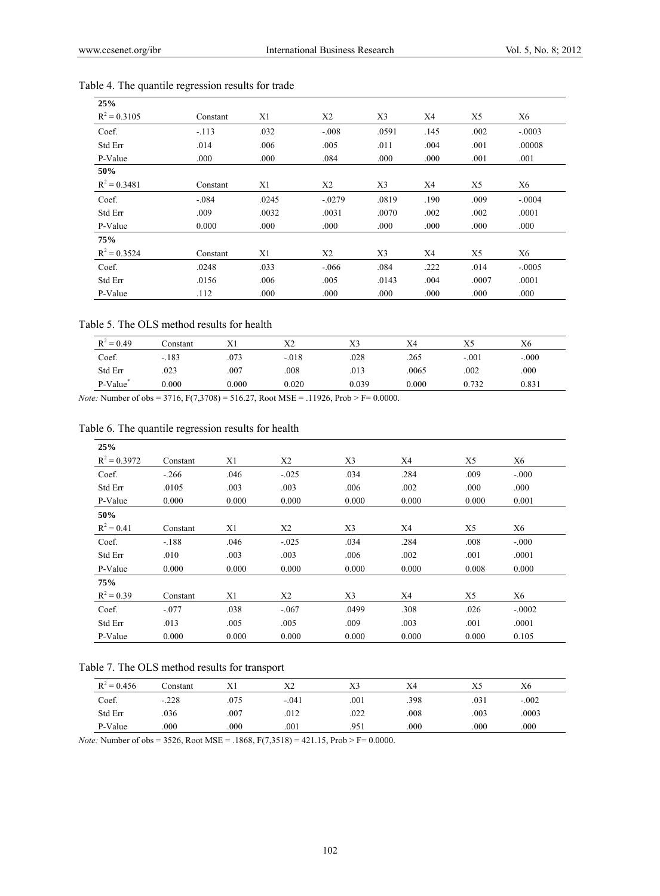| 25%            |          |       |          |       |      |       |          |
|----------------|----------|-------|----------|-------|------|-------|----------|
| $R^2 = 0.3105$ | Constant | X1    | X2       | X3    | X4   | X5    | X6       |
| Coef.          | $-.113$  | .032  | $-.008$  | .0591 | .145 | .002  | $-.0003$ |
| Std Err        | .014     | .006  | .005     | .011  | .004 | .001  | .00008   |
| P-Value        | .000     | .000  | .084     | .000  | .000 | .001  | .001     |
| 50%            |          |       |          |       |      |       |          |
| $R^2 = 0.3481$ | Constant | X1    | X2       | X3    | X4   | X5    | X6       |
| Coef.          | $-.084$  | .0245 | $-.0279$ | .0819 | .190 | .009  | $-.0004$ |
| Std Err        | .009     | .0032 | .0031    | .0070 | .002 | .002  | .0001    |
| P-Value        | 0.000    | .000  | .000     | .000  | .000 | .000  | .000     |
| 75%            |          |       |          |       |      |       |          |
| $R^2 = 0.3524$ | Constant | X1    | X2       | X3    | X4   | X5    | X6       |
| Coef.          | .0248    | .033  | $-.066$  | .084  | .222 | .014  | $-.0005$ |
| Std Err        | .0156    | .006  | .005     | .0143 | .004 | .0007 | .0001    |
| P-Value        | .112     | .000  | .000     | .000  | .000 | .000  | .000     |

Table 4. The quantile regression results for trade

Table 5. The OLS method results for health

| $R^2 = 0.49$         | Constant  |       | X2      | X3    | X4    |         | X6      |  |
|----------------------|-----------|-------|---------|-------|-------|---------|---------|--|
| Coef.                | $-.183$   | .073  | $-.018$ | .028  | .265  | $-.001$ | $-.000$ |  |
| Std Err              | 023       | .007  | .008    | .013  | .0065 | .002    | .000    |  |
| P-Value <sup>*</sup> | $0.000\,$ | 0.000 | 0.020   | 0.039 | 0.000 | 0.732   | 0.831   |  |

*Note:* Number of obs = 3716,  $F(7,3708) = 516.27$ , Root MSE = .11926, Prob > F= 0.0000.

Table 6. The quantile regression results for health

| 25%            |          |       |                |                |       |       |          |  |
|----------------|----------|-------|----------------|----------------|-------|-------|----------|--|
| $R^2 = 0.3972$ | Constant | X1    | X <sub>2</sub> | X3             | X4    | X5    | X6       |  |
| Coef.          | $-.266$  | .046  | $-.025$        | .034           | .284  | .009  | $-.000$  |  |
| Std Err        | .0105    | .003  | .003           | .006           | .002  | .000  | .000     |  |
| P-Value        | 0.000    | 0.000 | 0.000          | 0.000          | 0.000 | 0.000 | 0.001    |  |
| 50%            |          |       |                |                |       |       |          |  |
| $R^2 = 0.41$   | Constant | X1    | X <sub>2</sub> | X3             | X4    | X5    | X6       |  |
| Coef.          | $-.188$  | .046  | $-.025$        | .034           | .284  | .008  | $-.000$  |  |
| Std Err        | .010     | .003  | .003           | .006           | .002  | .001  | .0001    |  |
| P-Value        | 0.000    | 0.000 | 0.000          | 0.000          | 0.000 | 0.008 | 0.000    |  |
| 75%            |          |       |                |                |       |       |          |  |
| $R^2 = 0.39$   | Constant | X1    | X <sub>2</sub> | X <sub>3</sub> | X4    | X5    | X6       |  |
| Coef.          | $-.077$  | .038  | $-.067$        | .0499          | .308  | .026  | $-.0002$ |  |
| Std Err        | .013     | .005  | .005           | .009           | .003  | .001  | .0001    |  |
| P-Value        | 0.000    | 0.000 | 0.000          | 0.000          | 0.000 | 0.000 | 0.105    |  |

# Table 7. The OLS method results for transport

| $R^2 = 0.456$ | ∠onstant |      | X2      | A3   | X4   | X5   | X6      |
|---------------|----------|------|---------|------|------|------|---------|
| Coef.         | $-.228$  | 075  | $-.041$ | .001 | .398 | .031 | $-.002$ |
| Std Err       | .036     | .007 | .012    | .022 | .008 | .003 | .0003   |
| P-Value       | .000     | .000 | .001    | .951 | .000 | .000 | .000    |

*Note:* Number of obs = 3526, Root MSE = .1868, F(7,3518) = 421.15, Prob > F= 0.0000.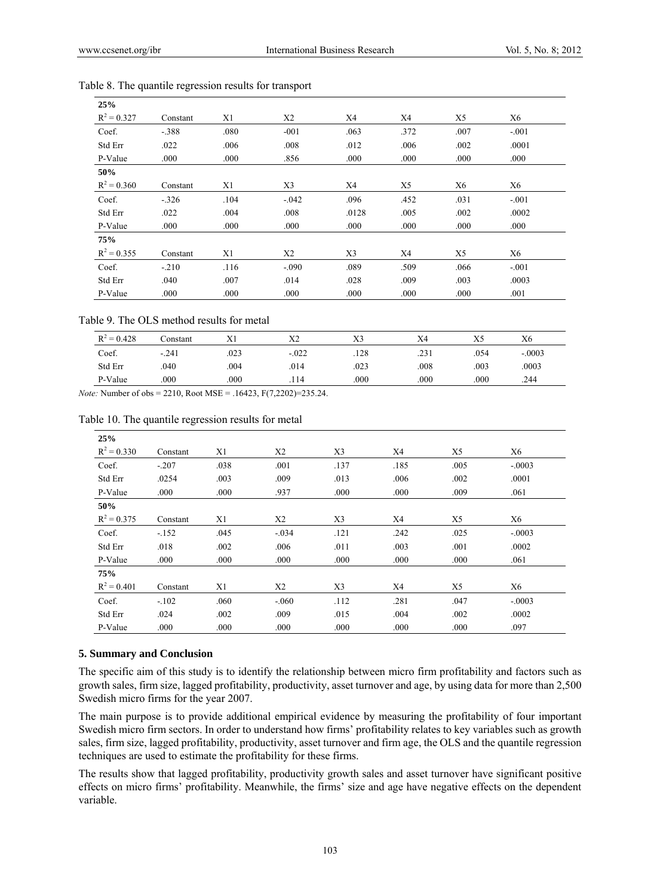| 25%           |          |      |                |       |      |      |         |
|---------------|----------|------|----------------|-------|------|------|---------|
| $R^2 = 0.327$ | Constant | Х1   | X <sub>2</sub> | X4    | X4   | X5   | X6      |
| Coef.         | $-.388$  | .080 | $-001$         | .063  | .372 | .007 | $-.001$ |
| Std Err       | .022     | .006 | .008           | .012  | .006 | .002 | .0001   |
| P-Value       | .000     | .000 | .856           | .000  | .000 | .000 | .000    |
| 50%           |          |      |                |       |      |      |         |
| $R^2 = 0.360$ | Constant | X1   | X3             | X4    | X5   | X6   | X6      |
| Coef.         | $-.326$  | .104 | $-.042$        | .096  | .452 | .031 | $-.001$ |
| Std Err       | .022     | .004 | .008           | .0128 | .005 | .002 | .0002   |
| P-Value       | .000     | .000 | .000           | .000  | .000 | .000 | .000    |
| 75%           |          |      |                |       |      |      |         |
| $R^2 = 0.355$ | Constant | X1   | X <sub>2</sub> | X3    | X4   | X5   | X6      |
| Coef.         | $-.210$  | .116 | $-.090$        | .089  | .509 | .066 | $-.001$ |
| Std Err       | .040     | .007 | .014           | .028  | .009 | .003 | .0003   |
| P-Value       | .000     | .000 | .000           | .000  | .000 | .000 | .001    |

Table 8. The quantile regression results for transport

Table 9. The OLS method results for metal

| $R^2 = 0.428$ | Constant | X1   | X2      | X3   | X4   | X5   | X6       |
|---------------|----------|------|---------|------|------|------|----------|
| Coef.         | $-.241$  | .023 | $-.022$ | .128 | .231 | .054 | $-.0003$ |
| Std Err       | .040     | .004 | .014    | .023 | .008 | .003 | .0003    |
| P-Value       | .000     | .000 | 114     | .000 | .000 | .000 | .244     |

*Note:* Number of obs = 2210, Root MSE = .16423, F(7,2202)=235.24.

Table 10. The quantile regression results for metal

| 25%           |          |      |                |                |      |      |          |
|---------------|----------|------|----------------|----------------|------|------|----------|
| $R^2 = 0.330$ | Constant | X1   | X <sub>2</sub> | X <sub>3</sub> | Х4   | X5   | X6       |
| Coef.         | $-.207$  | .038 | .001           | .137           | .185 | .005 | $-.0003$ |
| Std Err       | .0254    | .003 | .009           | .013           | .006 | .002 | .0001    |
| P-Value       | .000     | .000 | .937           | .000           | .000 | .009 | .061     |
| 50%           |          |      |                |                |      |      |          |
| $R^2 = 0.375$ | Constant | X1   | X <sub>2</sub> | X3             | X4   | X5   | X6       |
| Coef.         | $-152$   | .045 | $-.034$        | .121           | .242 | .025 | $-.0003$ |
| Std Err       | .018     | .002 | .006           | .011           | .003 | .001 | .0002    |
| P-Value       | .000     | .000 | .000           | .000           | .000 | .000 | .061     |
| 75%           |          |      |                |                |      |      |          |
| $R^2 = 0.401$ | Constant | X1   | X <sub>2</sub> | X <sub>3</sub> | X4   | X5   | X6       |
| Coef.         | $-.102$  | .060 | $-.060$        | .112           | .281 | .047 | $-.0003$ |
| Std Err       | .024     | .002 | .009           | .015           | .004 | .002 | .0002    |
| P-Value       | .000     | .000 | .000           | .000           | .000 | .000 | .097     |

## **5. Summary and Conclusion**

The specific aim of this study is to identify the relationship between micro firm profitability and factors such as growth sales, firm size, lagged profitability, productivity, asset turnover and age, by using data for more than 2,500 Swedish micro firms for the year 2007.

The main purpose is to provide additional empirical evidence by measuring the profitability of four important Swedish micro firm sectors. In order to understand how firms' profitability relates to key variables such as growth sales, firm size, lagged profitability, productivity, asset turnover and firm age, the OLS and the quantile regression techniques are used to estimate the profitability for these firms.

The results show that lagged profitability, productivity growth sales and asset turnover have significant positive effects on micro firms' profitability. Meanwhile, the firms' size and age have negative effects on the dependent variable.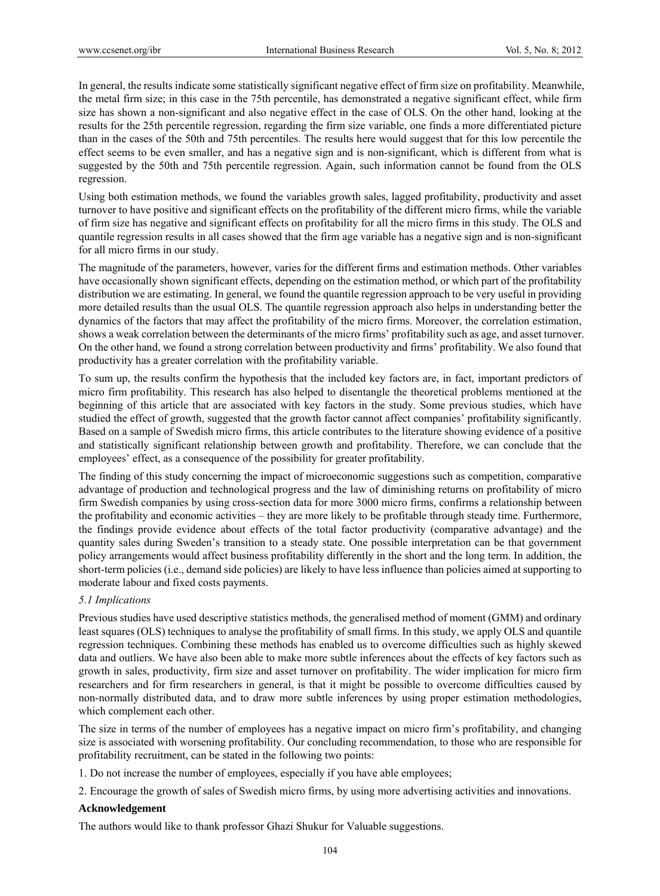In general, the results indicate some statistically significant negative effect of firm size on profitability. Meanwhile, the metal firm size; in this case in the 75th percentile, has demonstrated a negative significant effect, while firm size has shown a non-significant and also negative effect in the case of OLS. On the other hand, looking at the results for the 25th percentile regression, regarding the firm size variable, one finds a more differentiated picture than in the cases of the 50th and 75th percentiles. The results here would suggest that for this low percentile the effect seems to be even smaller, and has a negative sign and is non-significant, which is different from what is suggested by the 50th and 75th percentile regression. Again, such information cannot be found from the OLS regression.

Using both estimation methods, we found the variables growth sales, lagged profitability, productivity and asset turnover to have positive and significant effects on the profitability of the different micro firms, while the variable of firm size has negative and significant effects on profitability for all the micro firms in this study. The OLS and quantile regression results in all cases showed that the firm age variable has a negative sign and is non-significant for all micro firms in our study.

The magnitude of the parameters, however, varies for the different firms and estimation methods. Other variables have occasionally shown significant effects, depending on the estimation method, or which part of the profitability distribution we are estimating. In general, we found the quantile regression approach to be very useful in providing more detailed results than the usual OLS. The quantile regression approach also helps in understanding better the dynamics of the factors that may affect the profitability of the micro firms. Moreover, the correlation estimation, shows a weak correlation between the determinants of the micro firms' profitability such as age, and asset turnover. On the other hand, we found a strong correlation between productivity and firms' profitability. We also found that productivity has a greater correlation with the profitability variable.

To sum up, the results confirm the hypothesis that the included key factors are, in fact, important predictors of micro firm profitability. This research has also helped to disentangle the theoretical problems mentioned at the beginning of this article that are associated with key factors in the study. Some previous studies, which have studied the effect of growth, suggested that the growth factor cannot affect companies' profitability significantly. Based on a sample of Swedish micro firms, this article contributes to the literature showing evidence of a positive and statistically significant relationship between growth and profitability. Therefore, we can conclude that the employees' effect, as a consequence of the possibility for greater profitability.

The finding of this study concerning the impact of microeconomic suggestions such as competition, comparative advantage of production and technological progress and the law of diminishing returns on profitability of micro firm Swedish companies by using cross-section data for more 3000 micro firms, confirms a relationship between the profitability and economic activities – they are more likely to be profitable through steady time. Furthermore, the findings provide evidence about effects of the total factor productivity (comparative advantage) and the quantity sales during Sweden's transition to a steady state. One possible interpretation can be that government policy arrangements would affect business profitability differently in the short and the long term. In addition, the short-term policies (i.e., demand side policies) are likely to have less influence than policies aimed at supporting to moderate labour and fixed costs payments.

# *5.1 Implications*

Previous studies have used descriptive statistics methods, the generalised method of moment (GMM) and ordinary least squares (OLS) techniques to analyse the profitability of small firms. In this study, we apply OLS and quantile regression techniques. Combining these methods has enabled us to overcome difficulties such as highly skewed data and outliers. We have also been able to make more subtle inferences about the effects of key factors such as growth in sales, productivity, firm size and asset turnover on profitability. The wider implication for micro firm researchers and for firm researchers in general, is that it might be possible to overcome difficulties caused by non-normally distributed data, and to draw more subtle inferences by using proper estimation methodologies, which complement each other.

The size in terms of the number of employees has a negative impact on micro firm's profitability, and changing size is associated with worsening profitability. Our concluding recommendation, to those who are responsible for profitability recruitment, can be stated in the following two points:

- 1. Do not increase the number of employees, especially if you have able employees;
- 2. Encourage the growth of sales of Swedish micro firms, by using more advertising activities and innovations.

## **Acknowledgement**

The authors would like to thank professor Ghazi Shukur for Valuable suggestions.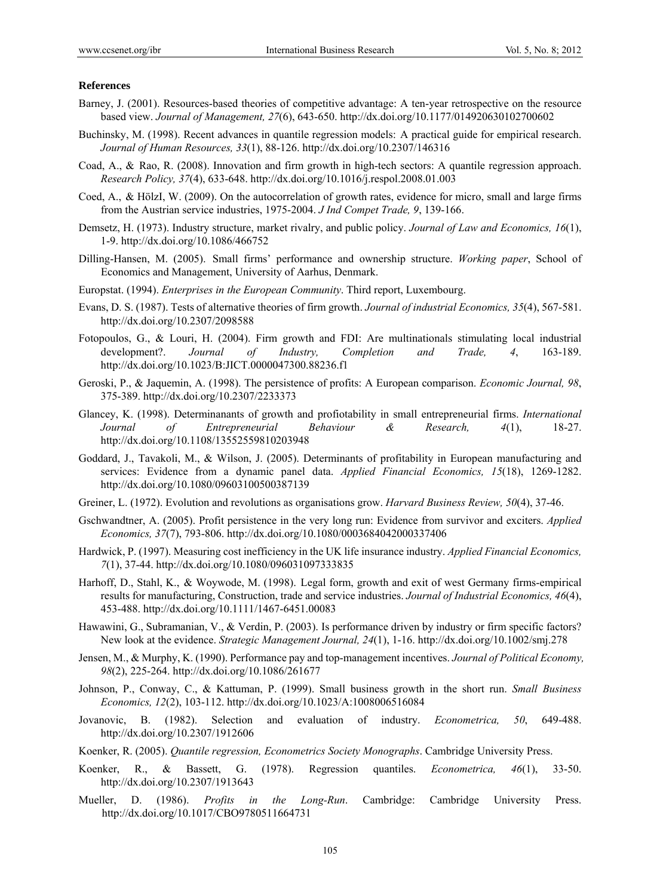#### **References**

- Barney, J. (2001). Resources-based theories of competitive advantage: A ten-year retrospective on the resource based view. *Journal of Management, 27*(6), 643-650. http://dx.doi.org/10.1177/014920630102700602
- Buchinsky, M. (1998). Recent advances in quantile regression models: A practical guide for empirical research. *Journal of Human Resources, 33*(1), 88-126. http://dx.doi.org/10.2307/146316
- Coad, A., & Rao, R. (2008). Innovation and firm growth in high-tech sectors: A quantile regression approach. *Research Policy, 37*(4), 633-648. http://dx.doi.org/10.1016/j.respol.2008.01.003
- Coed, A., & HölzI, W. (2009). On the autocorrelation of growth rates, evidence for micro, small and large firms from the Austrian service industries, 1975-2004. *J Ind Compet Trade, 9*, 139-166.
- Demsetz, H. (1973). Industry structure, market rivalry, and public policy. *Journal of Law and Economics, 16*(1), 1-9. http://dx.doi.org/10.1086/466752
- Dilling-Hansen, M. (2005). Small firms' performance and ownership structure. *Working paper*, School of Economics and Management, University of Aarhus, Denmark.
- Europstat. (1994). *Enterprises in the European Community*. Third report, Luxembourg.
- Evans, D. S. (1987). Tests of alternative theories of firm growth. *Journal of industrial Economics, 35*(4), 567-581. http://dx.doi.org/10.2307/2098588
- Fotopoulos, G., & Louri, H. (2004). Firm growth and FDI: Are multinationals stimulating local industrial development?. *Journal of Industry, Completion and Trade, 4*, 163-189. http://dx.doi.org/10.1023/B:JICT.0000047300.88236.f1
- Geroski, P., & Jaquemin, A. (1998). The persistence of profits: A European comparison. *Economic Journal, 98*, 375-389. http://dx.doi.org/10.2307/2233373
- Glancey, K. (1998). Determinanants of growth and profiotability in small entrepreneurial firms. *International Journal of Entrepreneurial Behaviour & Research, 4*(1), 18-27. http://dx.doi.org/10.1108/13552559810203948
- Goddard, J., Tavakoli, M., & Wilson, J. (2005). Determinants of profitability in European manufacturing and services: Evidence from a dynamic panel data. *Applied Financial Economics, 15*(18), 1269-1282. http://dx.doi.org/10.1080/09603100500387139
- Greiner, L. (1972). Evolution and revolutions as organisations grow. *Harvard Business Review, 50*(4), 37-46.
- Gschwandtner, A. (2005). Profit persistence in the very long run: Evidence from survivor and exciters. *Applied Economics, 37*(7), 793-806. http://dx.doi.org/10.1080/0003684042000337406
- Hardwick, P. (1997). Measuring cost inefficiency in the UK life insurance industry. *Applied Financial Economics, 7*(1), 37-44. http://dx.doi.org/10.1080/096031097333835
- Harhoff, D., Stahl, K., & Woywode, M. (1998). Legal form, growth and exit of west Germany firms-empirical results for manufacturing, Construction, trade and service industries. *Journal of Industrial Economics, 46*(4), 453-488. http://dx.doi.org/10.1111/1467-6451.00083
- Hawawini, G., Subramanian, V., & Verdin, P. (2003). Is performance driven by industry or firm specific factors? New look at the evidence. *Strategic Management Journal, 24*(1), 1-16. http://dx.doi.org/10.1002/smj.278
- Jensen, M., & Murphy, K. (1990). Performance pay and top-management incentives. *Journal of Political Economy, 98*(2), 225-264. http://dx.doi.org/10.1086/261677
- Johnson, P., Conway, C., & Kattuman, P. (1999). Small business growth in the short run. *Small Business Economics, 12*(2), 103-112. http://dx.doi.org/10.1023/A:1008006516084
- Jovanovic, B. (1982). Selection and evaluation of industry. *Econometrica, 50*, 649-488. http://dx.doi.org/10.2307/1912606
- Koenker, R. (2005). *Quantile regression, Econometrics Society Monographs*. Cambridge University Press.
- Koenker, R., & Bassett, G. (1978). Regression quantiles. *Econometrica, 46*(1), 33-50. http://dx.doi.org/10.2307/1913643
- Mueller, D. (1986). *Profits in the Long-Run*. Cambridge: Cambridge University Press. http://dx.doi.org/10.1017/CBO9780511664731